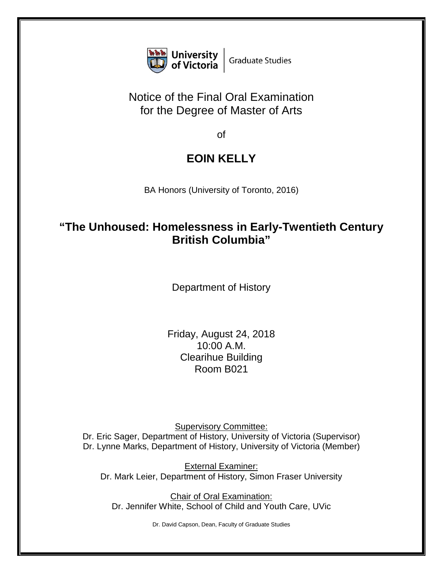

## Notice of the Final Oral Examination for the Degree of Master of Arts

of

## **EOIN KELLY**

BA Honors (University of Toronto, 2016)

## **"The Unhoused: Homelessness in Early-Twentieth Century British Columbia"**

Department of History

Friday, August 24, 2018 10:00 A.M. Clearihue Building Room B021

Supervisory Committee: Dr. Eric Sager, Department of History, University of Victoria (Supervisor) Dr. Lynne Marks, Department of History, University of Victoria (Member)

External Examiner: Dr. Mark Leier, Department of History, Simon Fraser University

Chair of Oral Examination: Dr. Jennifer White, School of Child and Youth Care, UVic

Dr. David Capson, Dean, Faculty of Graduate Studies